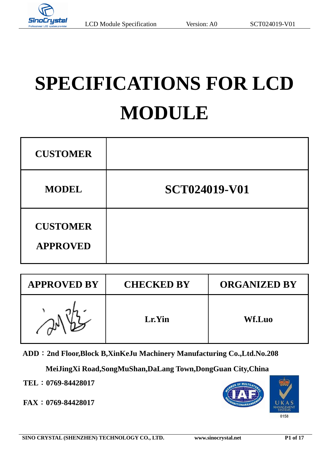

# **SPECIFICATIONS FOR LCD MODULE**

| <b>CUSTOMER</b>                    |                      |
|------------------------------------|----------------------|
| <b>MODEL</b>                       | <b>SCT024019-V01</b> |
| <b>CUSTOMER</b><br><b>APPROVED</b> |                      |

| <b>APPROVED BY</b> | <b>CHECKED BY</b> | <b>ORGANIZED BY</b> |
|--------------------|-------------------|---------------------|
|                    | Lr.Yin            | Wf.Luo              |

**ADD**:**2nd Floor,Block B,XinKeJu Machinery Manufacturing Co.,Ltd.No.208** 

**MeiJingXi Road,SongMuShan,DaLang Town,DongGuan City,China** 

**TEL**:**0769-84428017**

**FAX**:**0769-84428017**

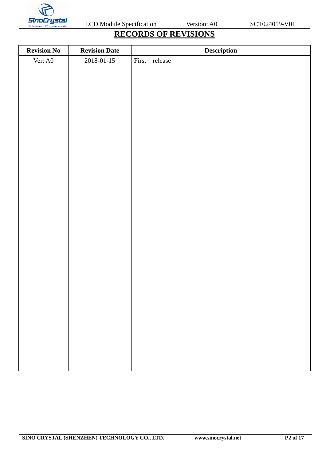

# **RECORDS OF REVISIONS**

| <b>Revision No</b> | <b>Revision Date</b> | Description   |
|--------------------|----------------------|---------------|
| Ver: A0            | 2018-01-15           | First release |
|                    |                      |               |
|                    |                      |               |
|                    |                      |               |
|                    |                      |               |
|                    |                      |               |
|                    |                      |               |
|                    |                      |               |
|                    |                      |               |
|                    |                      |               |
|                    |                      |               |
|                    |                      |               |
|                    |                      |               |
|                    |                      |               |
|                    |                      |               |
|                    |                      |               |
|                    |                      |               |
|                    |                      |               |
|                    |                      |               |
|                    |                      |               |
|                    |                      |               |
|                    |                      |               |
|                    |                      |               |
|                    |                      |               |
|                    |                      |               |
|                    |                      |               |
|                    |                      |               |
|                    |                      |               |
|                    |                      |               |
|                    |                      |               |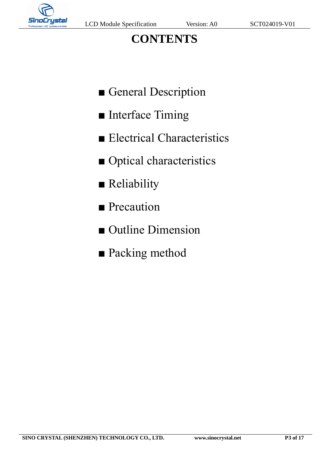

# **CONTENTS**

- General Description
- Interface Timing
- Electrical Characteristics
- Optical characteristics
- Reliability
- Precaution
- Outline Dimension
- Packing method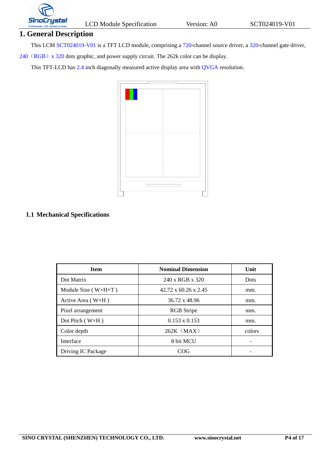

#### **1. General Description**

This LCM SCT024019-V01 is a TFT LCD module, comprising a 720-channel source driver, a 320-channel gate driver,

240 (RGB) x 320 dots graphic, and power supply circuit. The 262k color can be display.

This TFT-LCD has 2.4 inch diagonally measured active display area with QVGA resolution.



#### **1.1 Mechanical Specifications**

| <b>Item</b>                           | <b>Nominal Dimension</b>         | Unit        |
|---------------------------------------|----------------------------------|-------------|
| Dot Matrix                            | 240 x RGB x 320                  | <b>Dots</b> |
| Module Size ( $W \times H \times T$ ) | $42.72 \times 60.26 \times 2.45$ | mm.         |
| Active Area ( $W \times H$ )          | 36.72 x 48.96                    | mm.         |
| Pixel arrangement                     | <b>RGB</b> Stripe                | mm.         |
| Dot Pitch $(W \times H)$              | $0.153 \times 0.153$             | mm.         |
| Color depth                           | $262K$ (MAX)                     | colors      |
| Interface                             | 8 bit MCU                        |             |
| Driving IC Package                    | COG                              |             |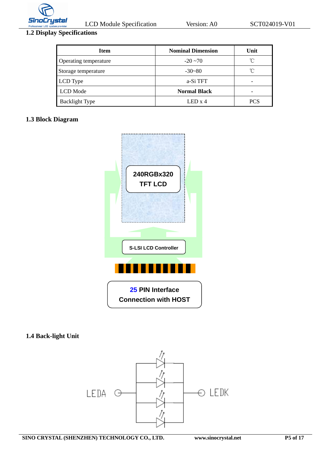

# **1.2 Display Specifications**

| Item                  | <b>Nominal Dimension</b> | Unit                     |
|-----------------------|--------------------------|--------------------------|
| Operating temperature | $-20 \sim 70$            | $^{\circ}$ $\cap$        |
| Storage temperature   | $-30-80$                 | $\int_{0}^{\infty}$      |
| LCD Type              | a-Si TFT                 | $\overline{\phantom{0}}$ |
| LCD Mode              | <b>Normal Black</b>      | $\overline{\phantom{0}}$ |
| <b>Backlight Type</b> | $LED \times 4$           | PCS                      |

#### **1.3 Block Diagram**



#### **1.4 Back-light Unit**

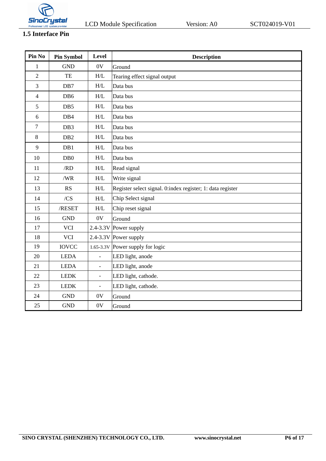

# **1.5 Interface Pin**

| Pin No         | <b>Pin Symbol</b> | Level                                                    | <b>Description</b>                                         |
|----------------|-------------------|----------------------------------------------------------|------------------------------------------------------------|
| $\mathbf{1}$   | <b>GND</b>        | 0V                                                       | Ground                                                     |
| $\overline{2}$ | TE                | H/L                                                      | Tearing effect signal output                               |
| 3              | DB7               | $\ensuremath{\mathrm{H}}\xspace/\ensuremath{\mathrm{L}}$ | Data bus                                                   |
| $\overline{4}$ | DB6               | $\ensuremath{\mathrm{H}}\xspace/\ensuremath{\mathrm{L}}$ | Data bus                                                   |
| 5              | DB5               | H/L                                                      | Data bus                                                   |
| 6              | DB4               | H/L                                                      | Data bus                                                   |
| $\overline{7}$ | DB <sub>3</sub>   | H/L                                                      | Data bus                                                   |
| 8              | DB <sub>2</sub>   | H/L                                                      | Data bus                                                   |
| 9              | DB1               | H/L                                                      | Data bus                                                   |
| 10             | D <sub>B</sub> 0  | H/L                                                      | Data bus                                                   |
| 11             | /RD               | H/L                                                      | Read signal                                                |
| 12             | /WR               | H/L                                                      | Write signal                                               |
| 13             | <b>RS</b>         | H/L                                                      | Register select signal. 0:index register; 1: data register |
| 14             | /CS               | $\ensuremath{\mathrm{H}}\xspace/\ensuremath{\mathrm{L}}$ | Chip Select signal                                         |
| 15             | $/$ RESET         | H/L                                                      | Chip reset signal                                          |
| 16             | <b>GND</b>        | 0V                                                       | Ground                                                     |
| 17             | <b>VCI</b>        |                                                          | 2.4-3.3V Power supply                                      |
| 18             | <b>VCI</b>        |                                                          | 2.4-3.3V Power supply                                      |
| 19             | <b>IOVCC</b>      |                                                          | $1.65 - 3.3V$ Power supply for logic                       |
| 20             | <b>LEDA</b>       | $\overline{\phantom{0}}$                                 | LED light, anode                                           |
| 21             | <b>LEDA</b>       | $\overline{\phantom{a}}$                                 | LED light, anode                                           |
| 22             | <b>LEDK</b>       | $\overline{\phantom{a}}$                                 | LED light, cathode.                                        |
| 23             | <b>LEDK</b>       | $\overline{\phantom{0}}$                                 | LED light, cathode.                                        |
| 24             | <b>GND</b>        | 0V                                                       | Ground                                                     |
| 25             | <b>GND</b>        | 0V                                                       | Ground                                                     |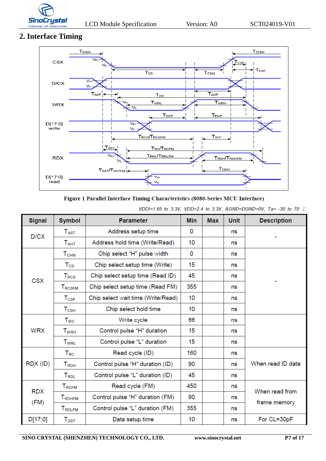

# **2. Interface Timing**



#### Figure 1 Parallel Interface Timing Characteristics (8080-Series MCU Interface)

VDDI=1.65 to 3.3V, VDD=2.4 to 3.3V, AGND=DGND=0V, Ta= -30 to 70  $\degree$ C

| <b>Signal</b> | <b>Symbol</b>                          | <b>Parameter</b>                   | <b>Min</b> | <b>Max</b> | <b>Unit</b> | <b>Description</b> |
|---------------|----------------------------------------|------------------------------------|------------|------------|-------------|--------------------|
| D/CX          | $T_{\rm AST}$                          | Address setup time                 | 0          |            | ns          |                    |
|               | $T_{\sf AHT}$                          | Address hold time (Write/Read)     | 10         |            | ns          |                    |
|               | T <sub>CHW</sub>                       | Chip select "H" pulse width        | 0          |            | ns          |                    |
|               | $T_{\rm CS}$                           | Chip select setup time (Write)     | 15         |            | ns          |                    |
| <b>CSX</b>    | $T_{\rm{RCS}}$                         | Chip select setup time (Read ID)   | 45         |            | ns          |                    |
|               | <b>TRCSFM</b>                          | Chip select setup time (Read FM)   | 355        |            | ns          |                    |
|               | $T_{CSF}$                              | Chip select wait time (Write/Read) | 10         |            | ns          |                    |
|               | $T_{\scriptscriptstyle{\mathrm{CSH}}}$ | Chip select hold time              | 10         |            | ns          |                    |
|               | $T_{WC}$                               | Write cycle                        | 66         |            | ns          |                    |
| <b>WRX</b>    | $T_{\scriptstyle\rm WRH}$              | Control pulse "H" duration         | 15         |            | ns          |                    |
|               | <b>T</b> <sub>WRL</sub>                | Control pulse "L" duration         | 15         |            | ns          |                    |
|               | $T_{\rm RC}$                           | Read cycle (ID)                    | 160        |            | ns          |                    |
| RDX (ID)      | $T_{RDH}$                              | Control pulse "H" duration (ID)    | 90         |            | ns          | When read ID data  |
|               | $T_{RDL}$                              | Control pulse "L" duration (ID)    | 45         |            | ns          |                    |
|               | $T_{RCFM}$                             | Read cycle (FM)                    | 450        |            | ns          | When read from     |
| <b>RDX</b>    | <b>TRDHFM</b>                          | Control pulse "H" duration (FM)    | 90         |            | ns          |                    |
| (FM)          | <b>T</b> RDLFM                         | Control pulse "L" duration (FM)    | 355        |            | ns          | frame memory       |
| D[17:0]       | $T_{\text{DST}}$                       | Data setup time                    | 10         |            | ns          | For CL=30pF        |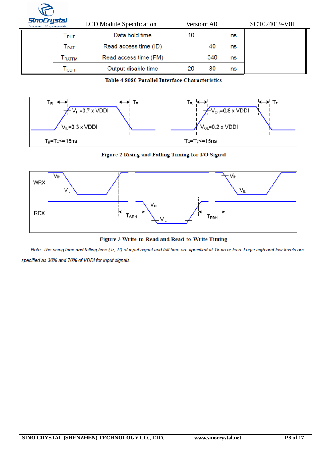

| IULI YSLUI<br>sional LCD system provider |                             | <b>LCD</b> Module Specification |    | Version: A0 |    | SCT024019-V01 |
|------------------------------------------|-----------------------------|---------------------------------|----|-------------|----|---------------|
|                                          | Т <sub>рнт</sub>            | Data hold time                  | 10 |             | ns |               |
|                                          | $\mathsf{F}_{\mathsf{RAT}}$ | Read access time (ID)           |    | 40          | ns |               |
|                                          | RATFM                       | Read access time (FM)           |    | 340         | ns |               |
|                                          | I орн                       | Output disable time             | 20 | 80          | ns |               |

#### Table 4 8080 Parallel Interface Characteristics



Figure 2 Rising and Falling Timing for I/O Signal



Figure 3 Write-to-Read and Read-to-Write Timing

Note: The rising time and falling time (Tr, Tf) of input signal and fall time are specified at 15 ns or less. Logic high and low levels are specified as 30% and 70% of VDDI for Input signals.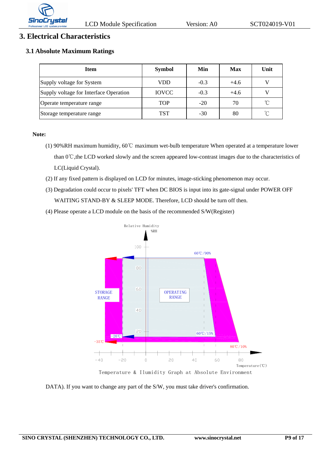

#### **3. Electrical Characteristics**

#### **3.1 Absolute Maximum Ratings**

| <b>Item</b>                            | <b>Symbol</b> | Min    | Max    | Unit            |
|----------------------------------------|---------------|--------|--------|-----------------|
| Supply voltage for System              | VDD           | $-0.3$ | $+4.6$ |                 |
| Supply voltage for Interface Operation | <b>IOVCC</b>  | $-0.3$ | $+4.6$ |                 |
| Operate temperature range              | <b>TOP</b>    | $-20$  | 70     | $\rm ^{\circ}C$ |
| Storage temperature range              | <b>TST</b>    | $-30$  | 80     | $\gamma$        |

#### **Note:**

- (1) 90%RH maximum humidity, 60℃ maximum wet-bulb temperature When operated at a temperature lower than 0℃,the LCD worked slowly and the screen appeared low-contrast images due to the characteristics of LC(Liquid Crystal).
- (2) If any fixed pattern is displayed on LCD for minutes, image-sticking phenomenon may occur.
- (3) Degradation could occur to pixels' TFT when DC BIOS is input into its gate-signal under POWER OFF WAITING STAND-BY & SLEEP MODE. Therefore, LCD should be turn off then.
- (4) Please operate a LCD module on the basis of the recommended S/W(Register)



DATA). If you want to change any part of the S/W, you must take driver's confirmation.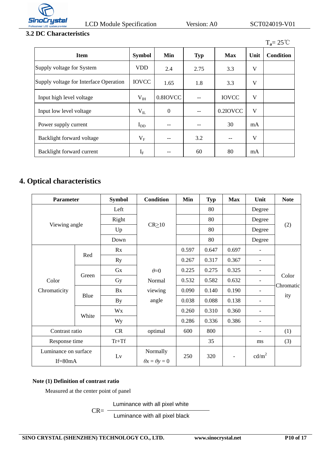

# **3.2 DC Characteristics**

|                                        |               |                  |            |              |      | $T_a = 25^{\circ}$ C |
|----------------------------------------|---------------|------------------|------------|--------------|------|----------------------|
| <b>Item</b>                            | <b>Symbol</b> | Min              | <b>Typ</b> | <b>Max</b>   | Unit | <b>Condition</b>     |
| Supply voltage for System              | <b>VDD</b>    | 2.4              | 2.75       | 3.3          | V    |                      |
| Supply voltage for Interface Operation | <b>IOVCC</b>  | 1.65             | 1.8        | 3.3          | V    |                      |
| Input high level voltage               | $V_{IH}$      | 0.8IOVCC         | $- -$      | <b>IOVCC</b> | V    |                      |
| Input low level voltage                | $V_{IL}$      | $\boldsymbol{0}$ | $- -$      | 0.2IOVCC     | V    |                      |
| Power supply current                   | $I_{DD}$      | --               | $- -$      | 30           | mA   |                      |
| Backlight forward voltage              | $V_{\rm F}$   | --               | 3.2        | $- -$        | V    |                      |
| Backlight forward current              | $I_F$         |                  | 60         | 80           | mA   |                      |

# **4. Optical characteristics**

| <b>Parameter</b>                  |       | <b>Symbol</b> | <b>Condition</b>                      | Min   | <b>Typ</b> | <b>Max</b> | Unit                     | <b>Note</b> |
|-----------------------------------|-------|---------------|---------------------------------------|-------|------------|------------|--------------------------|-------------|
|                                   |       | Left          |                                       |       | 80         |            | Degree                   |             |
|                                   |       | Right         |                                       |       | 80         |            | Degree                   |             |
| Viewing angle                     |       | Up            | $CR \ge 10$                           |       | 80         |            | Degree                   | (2)         |
|                                   |       | Down          |                                       |       | 80         |            | Degree                   |             |
|                                   |       | Rx            |                                       | 0.597 | 0.647      | 0.697      | $\overline{\phantom{a}}$ |             |
|                                   | Red   | Ry            |                                       | 0.267 | 0.317      | 0.367      | $\overline{\phantom{0}}$ |             |
|                                   |       | Gx            | $\theta = 0$                          | 0.225 | 0.275      | 0.325      |                          |             |
| Color                             | Green | Gy            | Normal                                | 0.532 | 0.582      | 0.632      |                          | Color       |
| Chromaticity                      |       | Bx            | viewing                               | 0.090 | 0.140      | 0.190      |                          | Chromatic   |
|                                   | Blue  | By            | angle                                 | 0.038 | 0.088      | 0.138      | $\overline{\phantom{0}}$ | ity         |
|                                   |       | Wx            |                                       | 0.260 | 0.310      | 0.360      |                          |             |
|                                   | White | Wy            |                                       | 0.286 | 0.336      | 0.386      | $\overline{\phantom{a}}$ |             |
| Contrast ratio                    |       | CR            | optimal                               | 600   | 800        |            | -                        | (1)         |
| Response time                     |       | $Tr+Tf$       |                                       |       | 35         |            | ms                       | (3)         |
| Luminance on surface<br>$If=80mA$ |       | Lv            | Normally<br>$\theta x = \theta y = 0$ | 250   | 320        |            | cd/m <sup>2</sup>        |             |

#### **Note (1) Definition of contrast ratio**

Measured at the center point of panel

 $CR = -$ Luminance with all pixel white

Luminance with all pixel black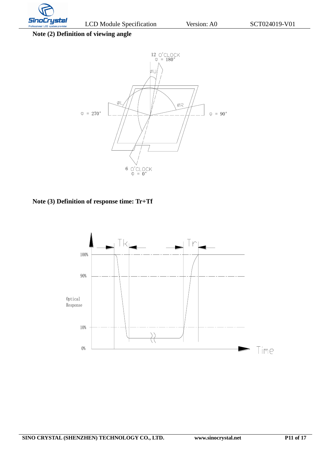

**Note (2) Definition of viewing angle**



**Note (3) Definition of response time: Tr+Tf**

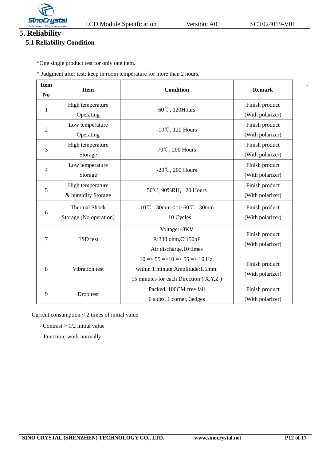

-

# **5. Reliability**

# **5.1 Reliability Condition**

\*One single product test for only one item.

\* Judgment after test: keep in room temperature for more than 2 hours.

| <b>Item</b><br>No | <b>Item</b>                                    | <b>Condition</b>                                                                                                                                             | <b>Remark</b>                      |
|-------------------|------------------------------------------------|--------------------------------------------------------------------------------------------------------------------------------------------------------------|------------------------------------|
| 1                 | High temperature<br>Operating                  | 60℃, 120Hours                                                                                                                                                | Finish product<br>(With polarizer) |
| $\overline{2}$    | Low temperature<br>Operating                   | $-10^{\circ}$ C, 120 Hours                                                                                                                                   | Finish product<br>(With polarizer) |
| 3                 | High temperature<br>Storage                    | 70℃, 200 Hours                                                                                                                                               | Finish product<br>(With polarizer) |
| $\overline{4}$    | Low temperature<br>Storage                     | -20 $\degree$ C, 200 Hours                                                                                                                                   | Finish product<br>(With polarizer) |
| 5                 | High temperature<br>& humidity Storage         | 50℃, 90%RH, 120 Hours                                                                                                                                        | Finish product<br>(With polarizer) |
| 6                 | <b>Thermal Shock</b><br>Storage (No operation) | $-10^{\circ}$ C, 30min. <= > 60 $^{\circ}$ C, 30min.<br>10 Cycles                                                                                            | Finish product<br>(With polarizer) |
| 7                 | ESD test                                       | Voltage: +8KV<br>R:330 ohm, C:150pF<br>Air discharge, 10 times                                                                                               | Finish product<br>(With polarizer) |
| 8                 | Vibration test                                 | $10 \Rightarrow 55 \Rightarrow 10 \Rightarrow 55 \Rightarrow 10 \text{ Hz}$ ,<br>within 1 minute; Amplitude: 1.5mm.<br>15 minutes for each Direction (X,Y,Z) | Finish product<br>(With polarizer) |
| 9                 | Drop test                                      | Packed, 100CM free fall<br>6 sides, 1 corner, 3 edges                                                                                                        | Finish product<br>(With polarizer) |

Current consumption < 2 times of initial value

- Contrast > 1/2 initial value
- Function: work normally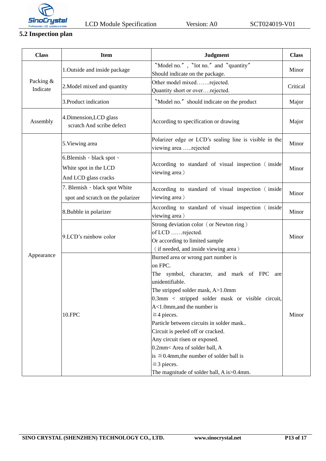

# **5.2 Inspection plan**

| <b>Class</b>          | <b>Item</b>                                                               | <b>Judgment</b>                                                                 | <b>Class</b> |
|-----------------------|---------------------------------------------------------------------------|---------------------------------------------------------------------------------|--------------|
| Packing &<br>Indicate | 1. Outside and inside package                                             | "Model no.", "lot no." and "quantity"                                           | Minor        |
|                       |                                                                           | Should indicate on the package.                                                 |              |
|                       | 2. Model mixed and quantity                                               | Other model mixedrejected.                                                      | Critical     |
|                       |                                                                           | Quantity short or overrejected.                                                 |              |
|                       | 3. Product indication                                                     | "Model no." should indicate on the product                                      | Major        |
| Assembly              | 4.Dimension, LCD glass<br>scratch And scribe defect                       | According to specification or drawing                                           | Major        |
| Appearance            | 5. Viewing area                                                           | Polarizer edge or LCD's sealing line is visible in the<br>viewing area rejected | Minor        |
|                       | 6.Blemish · black spot ·<br>White spot in the LCD<br>And LCD glass cracks | According to standard of visual inspection (inside<br>viewing area)             | Minor        |
|                       | 7. Blemish · black spot White                                             | According to standard of visual inspection (inside                              | Minor        |
|                       | spot and scratch on the polarizer                                         | viewing area)                                                                   |              |
|                       | 8. Bubble in polarizer                                                    | According to standard of visual inspection (inside<br>viewing area)             | Minor        |
|                       | 9.LCD's rainbow color                                                     | Strong deviation color (or Newton ring)                                         | Minor        |
|                       |                                                                           | of LCD rejected.                                                                |              |
|                       |                                                                           | Or according to limited sample                                                  |              |
|                       |                                                                           | (if needed, and inside viewing area)                                            |              |
|                       |                                                                           | Burned area or wrong part number is                                             | Minor        |
|                       | 10.FPC                                                                    | on FPC.                                                                         |              |
|                       |                                                                           | The symbol, character, and mark of FPC are                                      |              |
|                       |                                                                           | unidentifiable.                                                                 |              |
|                       |                                                                           | The stripped solder mask, A>1.0mm                                               |              |
|                       |                                                                           | $0.3$ mm < stripped solder mask or visible circuit,                             |              |
|                       |                                                                           | A<1.0mm, and the number is                                                      |              |
|                       |                                                                           | $\geq$ 4 pieces.<br>Particle between circuits in solder mask                    |              |
|                       |                                                                           |                                                                                 |              |
|                       |                                                                           | Circuit is peeled off or cracked.<br>Any circuit risen or exposed.              |              |
|                       |                                                                           | 0.2mm< Area of solder ball, A                                                   |              |
|                       |                                                                           | is $\leq 0.4$ mm, the number of solder ball is                                  |              |
|                       |                                                                           | $\geq$ 3 pieces.                                                                |              |
|                       |                                                                           | The magnitude of solder ball, A is > 0.4mm.                                     |              |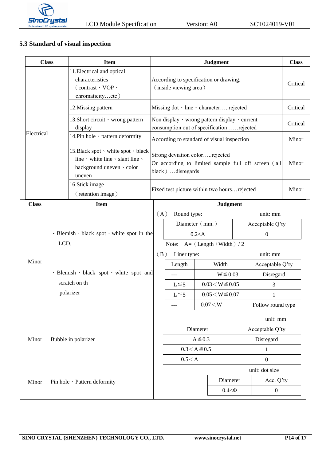

## **5.3 Standard of visual inspection**

| <b>Class</b> |                                                                       | <b>Item</b>                                                                                                    | <b>Judgment</b>                                                                                                                                           |                                                                                                   |  |              |                   | <b>Class</b>     |          |
|--------------|-----------------------------------------------------------------------|----------------------------------------------------------------------------------------------------------------|-----------------------------------------------------------------------------------------------------------------------------------------------------------|---------------------------------------------------------------------------------------------------|--|--------------|-------------------|------------------|----------|
|              |                                                                       | 11. Electrical and optical<br>characteristics<br>(contrast、VOP、<br>chromaticityetc)                            | According to specification or drawing.<br>(inside viewing area)                                                                                           |                                                                                                   |  |              |                   |                  | Critical |
|              |                                                                       | 12. Missing pattern                                                                                            | Missing dot · line · characterrejected                                                                                                                    |                                                                                                   |  |              |                   |                  | Critical |
|              |                                                                       | 13. Short circuit v wrong pattern<br>display                                                                   | Non display $\cdot$ wrong pattern display $\cdot$ current<br>consumption out of specificationrejected                                                     |                                                                                                   |  |              |                   |                  | Critical |
| Electrical   |                                                                       | 14. Pin hole · pattern deformity                                                                               | According to standard of visual inspection                                                                                                                |                                                                                                   |  |              |                   | Minor            |          |
|              |                                                                       | 15. Black spot v white spot v black<br>line v white line v slant line v<br>background uneven · color<br>uneven | Strong deviation colorrejected<br>Or according to limited sample full off screen (all<br>black) disregards<br>Fixed test picture within two hoursrejected |                                                                                                   |  |              |                   | Minor            |          |
|              |                                                                       | 16. Stick image<br>(retention image)                                                                           |                                                                                                                                                           |                                                                                                   |  |              |                   | Minor            |          |
| <b>Class</b> |                                                                       | <b>Item</b>                                                                                                    |                                                                                                                                                           | <b>Judgment</b>                                                                                   |  |              |                   |                  |          |
|              | · Blemish · black spot · white spot in the<br>LCD.                    |                                                                                                                | Round type:<br>(A)                                                                                                                                        |                                                                                                   |  |              | unit: mm          |                  |          |
|              |                                                                       |                                                                                                                | Diameter (mm.)                                                                                                                                            |                                                                                                   |  |              |                   | Acceptable Q'ty  |          |
|              |                                                                       |                                                                                                                | $0.2<$ A                                                                                                                                                  |                                                                                                   |  | $\mathbf{0}$ |                   |                  |          |
|              |                                                                       |                                                                                                                | Note: $A = (Length + Width) / 2$                                                                                                                          |                                                                                                   |  |              |                   |                  |          |
| Minor        | · Blemish · black spot · white spot and<br>scratch on th<br>polarizer |                                                                                                                | (B)<br>Liner type:                                                                                                                                        |                                                                                                   |  | unit: mm     |                   |                  |          |
|              |                                                                       |                                                                                                                |                                                                                                                                                           | Length<br>Width                                                                                   |  |              | Acceptable Q'ty   |                  |          |
|              |                                                                       |                                                                                                                |                                                                                                                                                           | $W \le 0.03$<br>$---$<br>$0.03 < W \le 0.05$<br>$L \leq 5$<br>$0.05 \le W \le 0.07$<br>$L \leq 5$ |  |              | Disregard         |                  |          |
|              |                                                                       |                                                                                                                |                                                                                                                                                           |                                                                                                   |  | 3            |                   |                  |          |
|              |                                                                       |                                                                                                                |                                                                                                                                                           |                                                                                                   |  |              |                   | 1                |          |
|              |                                                                       |                                                                                                                |                                                                                                                                                           | 0.07 < W<br>$---$                                                                                 |  |              | Follow round type |                  |          |
| Minor        | Bubble in polarizer                                                   |                                                                                                                | unit: mm                                                                                                                                                  |                                                                                                   |  |              |                   |                  |          |
|              |                                                                       |                                                                                                                | Diameter                                                                                                                                                  |                                                                                                   |  |              | Acceptable Q'ty   |                  |          |
|              |                                                                       |                                                                                                                | $A \le 0.3$                                                                                                                                               |                                                                                                   |  | Disregard    |                   |                  |          |
|              |                                                                       |                                                                                                                | $0.3 < A \le 0.5$                                                                                                                                         |                                                                                                   |  | $\mathbf{1}$ |                   |                  |          |
|              |                                                                       |                                                                                                                | 0.5 < A                                                                                                                                                   |                                                                                                   |  |              |                   | $\boldsymbol{0}$ |          |
| Minor        | Pin hole · Pattern deformity                                          |                                                                                                                |                                                                                                                                                           |                                                                                                   |  |              |                   | unit: dot size   |          |
|              |                                                                       |                                                                                                                |                                                                                                                                                           | Diameter                                                                                          |  |              | Acc. Q'ty         |                  |          |
|              |                                                                       |                                                                                                                |                                                                                                                                                           |                                                                                                   |  | $0.4<\Phi$   |                   | $\boldsymbol{0}$ |          |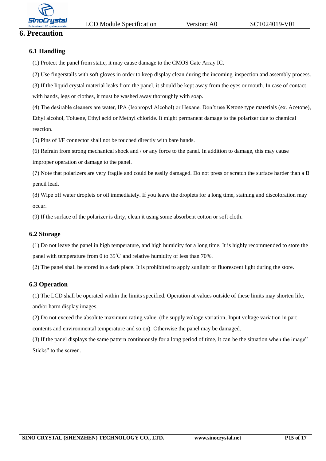

# **6. Precaution**

#### **6.1 Handling**

(1) Protect the panel from static, it may cause damage to the CMOS Gate Array IC.

(2) Use fingerstalls with soft gloves in order to keep display clean during the incoming inspection and assembly process.

(3) If the liquid crystal material leaks from the panel, it should be kept away from the eyes or mouth. In case of contact with hands, legs or clothes, it must be washed away thoroughly with soap.

(4) The desirable cleaners are water, IPA (Isopropyl Alcohol) or Hexane. Don't use Ketone type materials (ex. Acetone), Ethyl alcohol, Toluene, Ethyl acid or Methyl chloride. It might permanent damage to the polarizer due to chemical reaction.

(5) Pins of I/F connector shall not be touched directly with bare hands.

(6) Refrain from strong mechanical shock and / or any force to the panel. In addition to damage, this may cause

improper operation or damage to the panel.

(7) Note that polarizers are very fragile and could be easily damaged. Do not press or scratch the surface harder than a B pencil lead.

(8) Wipe off water droplets or oil immediately. If you leave the droplets for a long time, staining and discoloration may occur.

(9) If the surface of the polarizer is dirty, clean it using some absorbent cotton or soft cloth.

#### **6.2 Storage**

(1) Do not leave the panel in high temperature, and high humidity for a long time. It is highly recommended to store the panel with temperature from 0 to 35  $\degree$  c and relative humidity of less than 70%.

(2) The panel shall be stored in a dark place. It is prohibited to apply sunlight or fluorescent light during the store.

#### **6.3 Operation**

(1) The LCD shall be operated within the limits specified. Operation at values outside of these limits may shorten life, and/or harm display images.

(2) Do not exceed the absolute maximum rating value. (the supply voltage variation, Input voltage variation in part contents and environmental temperature and so on). Otherwise the panel may be damaged.

(3) If the panel displays the same pattern continuously for a long period of time, it can be the situation when the image" Sticks" to the screen.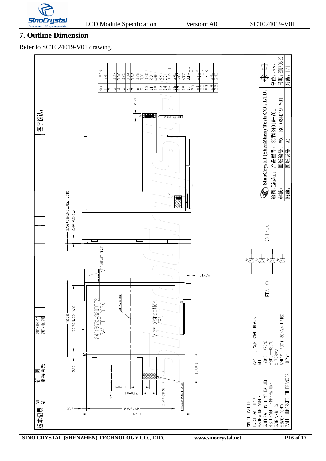

# **7. Outline Dimension**

Refer to SCT024019-V01 drawing.